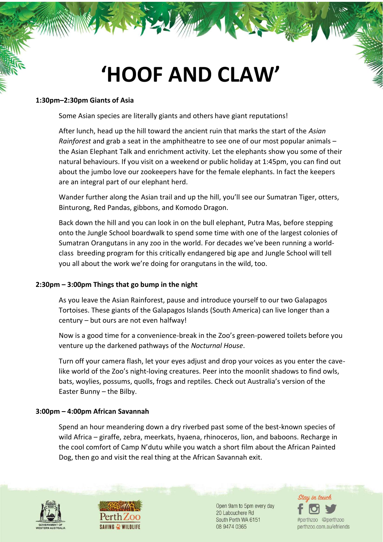# **'HOOF AND CLAW'**

#### **1:30pm–2:30pm Giants of Asia**

Some Asian species are literally giants and others have giant reputations!

After lunch, head up the hill toward the ancient ruin that marks the start of the *Asian Rainforest* and grab a seat in the amphitheatre to see one of our most popular animals – the Asian Elephant Talk and enrichment activity. Let the elephants show you some of their natural behaviours. If you visit on a weekend or public holiday at 1:45pm, you can find out about the jumbo love our zookeepers have for the female elephants. In fact the keepers are an integral part of our elephant herd.

Wander further along the Asian trail and up the hill, you'll see our Sumatran Tiger, otters, Binturong, Red Pandas, gibbons, and Komodo Dragon.

Back down the hill and you can look in on the bull elephant, Putra Mas, before stepping onto the Jungle School boardwalk to spend some time with one of the largest colonies of Sumatran Orangutans in any zoo in the world. For decades we've been running a worldclass breeding program for this critically endangered big ape and Jungle School will tell you all about the work we're doing for orangutans in the wild, too.

### **2:30pm – 3:00pm Things that go bump in the night**

As you leave the Asian Rainforest, pause and introduce yourself to our two Galapagos Tortoises. These giants of the Galapagos Islands (South America) can live longer than a century – but ours are not even halfway!

Now is a good time for a convenience-break in the Zoo's green-powered toilets before you venture up the darkened pathways of the *Nocturnal House*.

Turn off your camera flash, let your eyes adjust and drop your voices as you enter the cavelike world of the Zoo's night-loving creatures. Peer into the moonlit shadows to find owls, bats, woylies, possums, quolls, frogs and reptiles. Check out Australia's version of the Easter Bunny – the Bilby.

### **3:00pm – 4:00pm African Savannah**

Spend an hour meandering down a dry riverbed past some of the best-known species of wild Africa – giraffe, zebra, meerkats, hyaena, rhinoceros, lion, and baboons. Recharge in the cool comfort of Camp N'dutu while you watch a short film about the African Painted Dog, then go and visit the real thing at the African Savannah exit.





Open 9am to 5pm every day 20 Labouchere Rd South Perth WA 6151 08 9474 0365

Stau in touc #perthzoo @perthzoo perthzoo.com.au/efriends